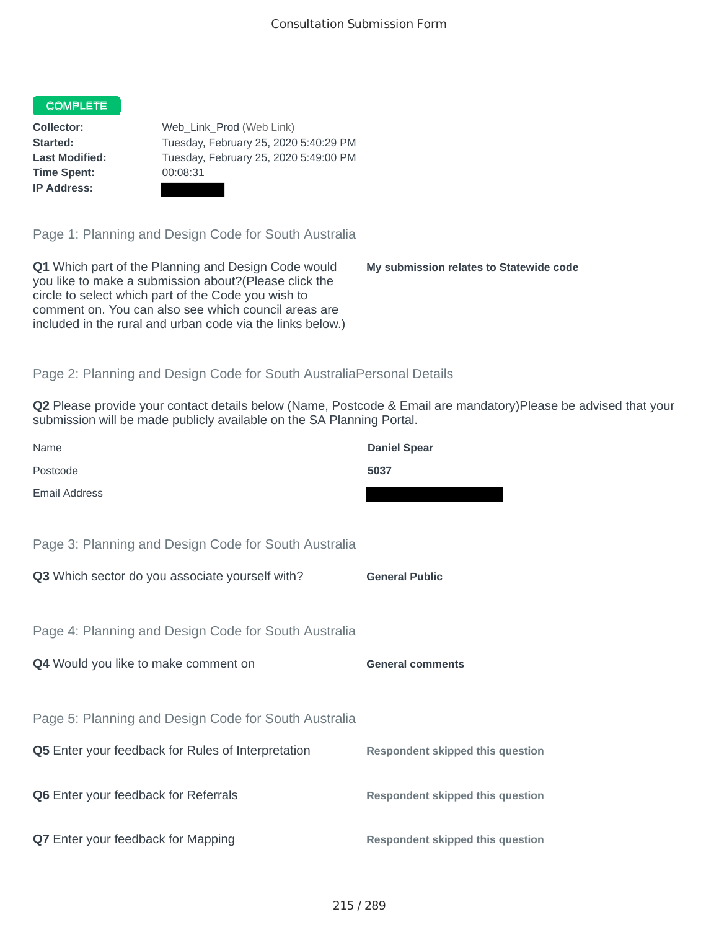## COMPLETE

**Time Spent:** 00:08:31 **IP Address:**

**Collector:** Web\_Link\_Prod (Web Link) **Started:** Tuesday, February 25, 2020 5:40:29 PM **Last Modified:** Tuesday, February 25, 2020 5:49:00 PM

Page 1: Planning and Design Code for South Australia

**Q1** Which part of the Planning and Design Code would you like to make a submission about?(Please click the circle to select which part of the Code you wish to comment on. You can also see which council areas are included in the rural and urban code via the links below.)

**My submission relates to Statewide code**

## Page 2: Planning and Design Code for South AustraliaPersonal Details

**Q2** Please provide your contact details below (Name, Postcode & Email are mandatory)Please be advised that your submission will be made publicly available on the SA Planning Portal.

| Name                                                 | <b>Daniel Spear</b>                     |
|------------------------------------------------------|-----------------------------------------|
| Postcode                                             | 5037                                    |
| <b>Email Address</b>                                 |                                         |
|                                                      |                                         |
| Page 3: Planning and Design Code for South Australia |                                         |
| Q3 Which sector do you associate yourself with?      | <b>General Public</b>                   |
|                                                      |                                         |
| Page 4: Planning and Design Code for South Australia |                                         |
| Q4 Would you like to make comment on                 | <b>General comments</b>                 |
|                                                      |                                         |
| Page 5: Planning and Design Code for South Australia |                                         |
| Q5 Enter your feedback for Rules of Interpretation   | <b>Respondent skipped this question</b> |
|                                                      |                                         |
| Q6 Enter your feedback for Referrals                 | <b>Respondent skipped this question</b> |
|                                                      |                                         |
| Q7 Enter your feedback for Mapping                   | <b>Respondent skipped this question</b> |